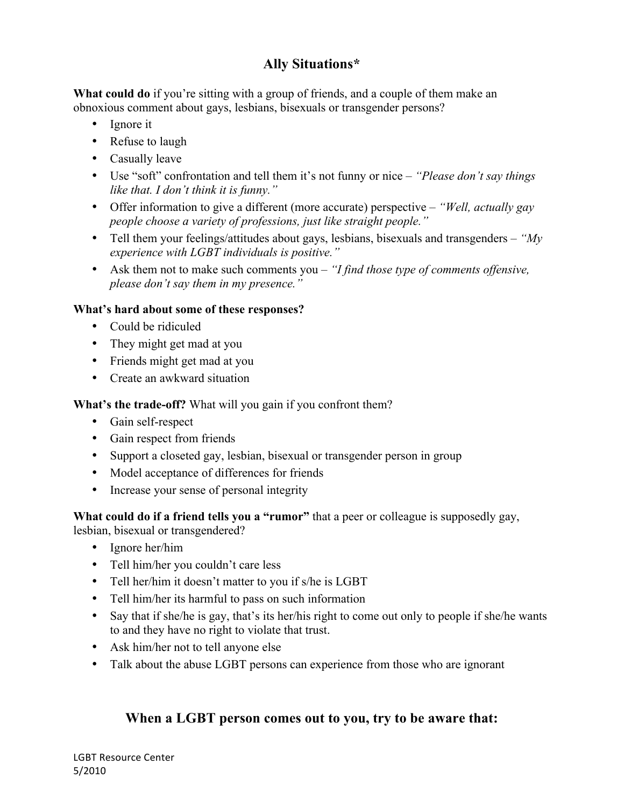# **Ally Situations\***

**What could do** if you're sitting with a group of friends, and a couple of them make an obnoxious comment about gays, lesbians, bisexuals or transgender persons?

- Ignore it
- Refuse to laugh
- Casually leave
- Use "soft" confrontation and tell them it's not funny or nice *"Please don't say things like that. I don't think it is funny."*
- Offer information to give a different (more accurate) perspective *"Well, actually gay people choose a variety of professions, just like straight people."*
- Tell them your feelings/attitudes about gays, lesbians, bisexuals and transgenders *"My experience with LGBT individuals is positive."*
- Ask them not to make such comments you *"I find those type of comments offensive, please don't say them in my presence."*

### **What's hard about some of these responses?**

- Could be ridiculed
- They might get mad at you
- Friends might get mad at you
- Create an awkward situation

**What's the trade-off?** What will you gain if you confront them?

- Gain self-respect
- Gain respect from friends
- Support a closeted gay, lesbian, bisexual or transgender person in group
- Model acceptance of differences for friends
- Increase your sense of personal integrity

**What could do if a friend tells you a "rumor"** that a peer or colleague is supposedly gay,

lesbian, bisexual or transgendered?

- Ignore her/him
- Tell him/her you couldn't care less
- Tell her/him it doesn't matter to you if s/he is LGBT
- Tell him/her its harmful to pass on such information
- Say that if she/he is gay, that's its her/his right to come out only to people if she/he wants to and they have no right to violate that trust.
- Ask him/her not to tell anyone else
- Talk about the abuse LGBT persons can experience from those who are ignorant

## **When a LGBT person comes out to you, try to be aware that:**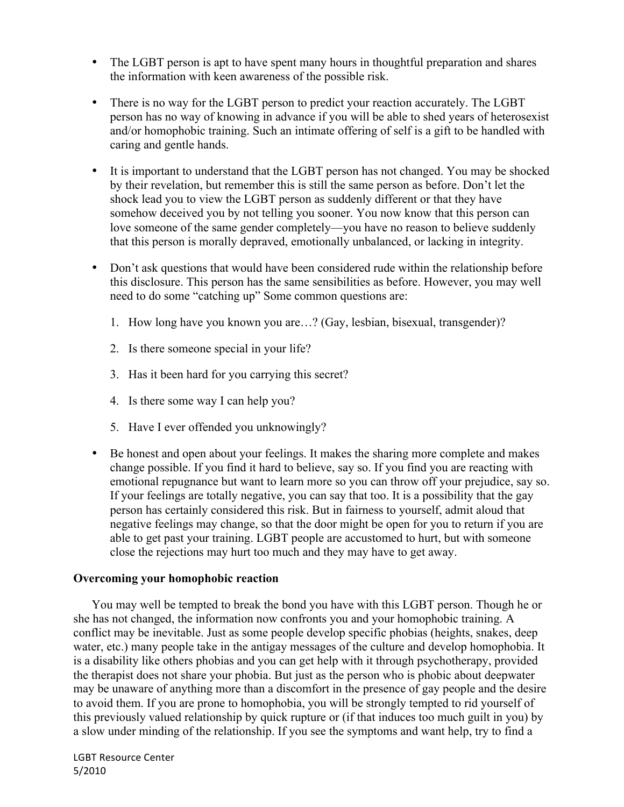- The LGBT person is apt to have spent many hours in thoughtful preparation and shares the information with keen awareness of the possible risk.
- There is no way for the LGBT person to predict your reaction accurately. The LGBT person has no way of knowing in advance if you will be able to shed years of heterosexist and/or homophobic training. Such an intimate offering of self is a gift to be handled with caring and gentle hands.
- It is important to understand that the LGBT person has not changed. You may be shocked by their revelation, but remember this is still the same person as before. Don't let the shock lead you to view the LGBT person as suddenly different or that they have somehow deceived you by not telling you sooner. You now know that this person can love someone of the same gender completely—you have no reason to believe suddenly that this person is morally depraved, emotionally unbalanced, or lacking in integrity.
- Don't ask questions that would have been considered rude within the relationship before this disclosure. This person has the same sensibilities as before. However, you may well need to do some "catching up" Some common questions are:
	- 1. How long have you known you are…? (Gay, lesbian, bisexual, transgender)?
	- 2. Is there someone special in your life?
	- 3. Has it been hard for you carrying this secret?
	- 4. Is there some way I can help you?
	- 5. Have I ever offended you unknowingly?
- Be honest and open about your feelings. It makes the sharing more complete and makes change possible. If you find it hard to believe, say so. If you find you are reacting with emotional repugnance but want to learn more so you can throw off your prejudice, say so. If your feelings are totally negative, you can say that too. It is a possibility that the gay person has certainly considered this risk. But in fairness to yourself, admit aloud that negative feelings may change, so that the door might be open for you to return if you are able to get past your training. LGBT people are accustomed to hurt, but with someone close the rejections may hurt too much and they may have to get away.

### **Overcoming your homophobic reaction**

You may well be tempted to break the bond you have with this LGBT person. Though he or she has not changed, the information now confronts you and your homophobic training. A conflict may be inevitable. Just as some people develop specific phobias (heights, snakes, deep water, etc.) many people take in the antigay messages of the culture and develop homophobia. It is a disability like others phobias and you can get help with it through psychotherapy, provided the therapist does not share your phobia. But just as the person who is phobic about deepwater may be unaware of anything more than a discomfort in the presence of gay people and the desire to avoid them. If you are prone to homophobia, you will be strongly tempted to rid yourself of this previously valued relationship by quick rupture or (if that induces too much guilt in you) by a slow under minding of the relationship. If you see the symptoms and want help, try to find a